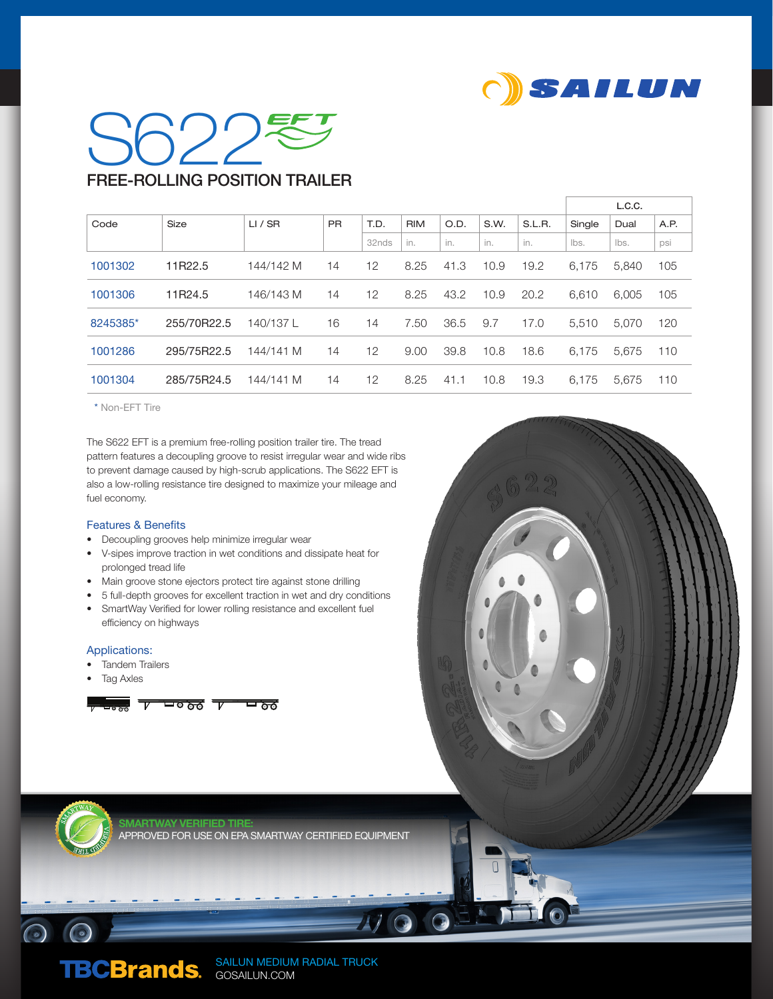

## $SO^2$ FREE-ROLLING POSITION TRAILER

|          |             |           |           |       |            |      |      |        | L.C.C. |       |      |
|----------|-------------|-----------|-----------|-------|------------|------|------|--------|--------|-------|------|
| Code     | Size        | LI / SR   | <b>PR</b> | T.D.  | <b>RIM</b> | O.D. | S.W. | S.L.R. | Single | Dual  | A.P. |
|          |             |           |           | 32nds | in.        | in.  | in.  | in.    | lbs.   | Ibs.  | psi  |
| 1001302  | 11R22.5     | 144/142 M | 14        | 12    | 8.25       | 41.3 | 10.9 | 19.2   | 6.175  | 5.840 | 105  |
| 1001306  | 11R24.5     | 146/143 M | 14        | 12    | 8.25       | 43.2 | 10.9 | 20.2   | 6.610  | 6.005 | 105  |
| 8245385* | 255/70R22.5 | 140/137L  | 16        | 14    | 7.50       | 36.5 | 9.7  | 17.0   | 5.510  | 5.070 | 120  |
| 1001286  | 295/75R22.5 | 144/141 M | 14        | 12    | 9.00       | 39.8 | 10.8 | 18.6   | 6.175  | 5.675 | 110  |
| 1001304  | 285/75R24.5 | 144/141 M | 14        | 12    | 8.25       | 41.1 | 10.8 | 19.3   | 6.175  | 5.675 | 110  |

\* Non-EFT Tire

The S622 EFT is a premium free-rolling position trailer tire. The tread pattern features a decoupling groove to resist irregular wear and wide ribs to prevent damage caused by high-scrub applications. The S622 EFT is also a low-rolling resistance tire designed to maximize your mileage and fuel economy.

## Features & Benefits

- Decoupling grooves help minimize irregular wear
- V-sipes improve traction in wet conditions and dissipate heat for prolonged tread life
- Main groove stone ejectors protect tire against stone drilling
- 5 full-depth grooves for excellent traction in wet and dry conditions • SmartWay Verified for lower rolling resistance and excellent fuel efficiency on highways

## Applications:

- Tandem Trailers
- **Tag Axles**

 $\odot$   $\odot$ 





SMARTWAY VERIFIED TIRE: ROVED FOR USE ON EPA SMARTWAY CERTIFIED EQUIPMENT

> SAILUN MEDIUM RADIAL TRUCK GOSAILUN.COM

 $4/90$